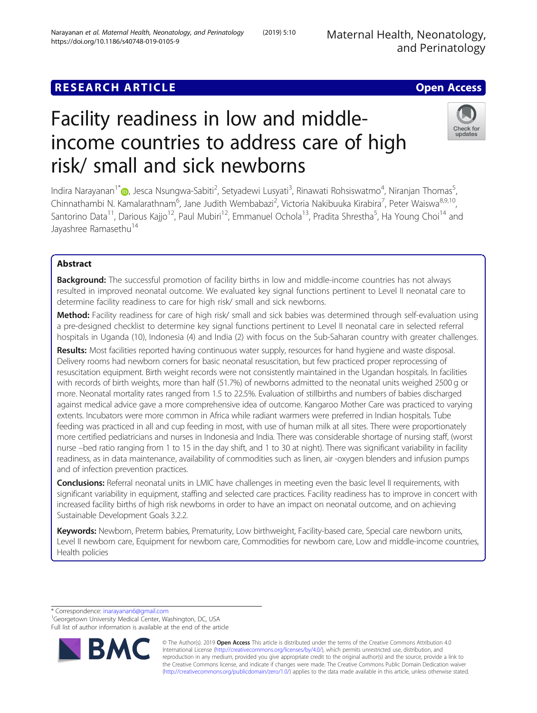Maternal Health, Neonatology, and Perinatology

## **RESEARCH ARTICLE Example 2014 12:30 The Contract of Contract ACCESS**

# Check for updates

# Facility readiness in low and middleincome countries to address care of high risk/ small and sick newborns

Indira Narayanan<sup>1\*</sup>@[,](http://orcid.org/0000-0001-8949-9132) Jesca Nsungwa-Sabiti<sup>2</sup>, Setyadewi Lusyati<sup>3</sup>, Rinawati Rohsiswatmo<sup>4</sup>, Niranjan Thomas<sup>5</sup> , Chinnathambi N. Kamalarathnam<sup>6</sup>, Jane Judith Wembabazi<sup>2</sup>, Victoria Nakibuuka Kirabira<sup>7</sup>, Peter Waiswa<sup>8,9,10</sup>, Santorino Data<sup>11</sup>, Darious Kajjo<sup>12</sup>, Paul Mubiri<sup>12</sup>, Emmanuel Ochola<sup>13</sup>, Pradita Shrestha<sup>5</sup>, Ha Young Choi<sup>14</sup> and Javashree Ramasethu<sup>14</sup>

### Abstract

**Background:** The successful promotion of facility births in low and middle-income countries has not always resulted in improved neonatal outcome. We evaluated key signal functions pertinent to Level II neonatal care to determine facility readiness to care for high risk/ small and sick newborns.

Method: Facility readiness for care of high risk/ small and sick babies was determined through self-evaluation using a pre-designed checklist to determine key signal functions pertinent to Level II neonatal care in selected referral hospitals in Uganda (10), Indonesia (4) and India (2) with focus on the Sub-Saharan country with greater challenges.

Results: Most facilities reported having continuous water supply, resources for hand hygiene and waste disposal. Delivery rooms had newborn corners for basic neonatal resuscitation, but few practiced proper reprocessing of resuscitation equipment. Birth weight records were not consistently maintained in the Ugandan hospitals. In facilities with records of birth weights, more than half (51.7%) of newborns admitted to the neonatal units weighed 2500 g or more. Neonatal mortality rates ranged from 1.5 to 22.5%. Evaluation of stillbirths and numbers of babies discharged against medical advice gave a more comprehensive idea of outcome. Kangaroo Mother Care was practiced to varying extents. Incubators were more common in Africa while radiant warmers were preferred in Indian hospitals. Tube feeding was practiced in all and cup feeding in most, with use of human milk at all sites. There were proportionately more certified pediatricians and nurses in Indonesia and India. There was considerable shortage of nursing staff, (worst nurse –bed ratio ranging from 1 to 15 in the day shift, and 1 to 30 at night). There was significant variability in facility readiness, as in data maintenance, availability of commodities such as linen, air -oxygen blenders and infusion pumps and of infection prevention practices.

Conclusions: Referral neonatal units in LMIC have challenges in meeting even the basic level II requirements, with significant variability in equipment, staffing and selected care practices. Facility readiness has to improve in concert with increased facility births of high risk newborns in order to have an impact on neonatal outcome, and on achieving Sustainable Development Goals 3.2.2.

Keywords: Newborn, Preterm babies, Prematurity, Low birthweight, Facility-based care, Special care newborn units, Level II newborn care, Equipment for newborn care, Commodities for newborn care, Low and middle-income countries, Health policies

\* Correspondence: [inarayanan6@gmail.com](mailto:inarayanan6@gmail.com) <sup>1</sup>

<sup>1</sup>Georgetown University Medical Center, Washington, DC, USA Full list of author information is available at the end of the article



© The Author(s). 2019 **Open Access** This article is distributed under the terms of the Creative Commons Attribution 4.0 International License [\(http://creativecommons.org/licenses/by/4.0/](http://creativecommons.org/licenses/by/4.0/)), which permits unrestricted use, distribution, and reproduction in any medium, provided you give appropriate credit to the original author(s) and the source, provide a link to the Creative Commons license, and indicate if changes were made. The Creative Commons Public Domain Dedication waiver [\(http://creativecommons.org/publicdomain/zero/1.0/](http://creativecommons.org/publicdomain/zero/1.0/)) applies to the data made available in this article, unless otherwise stated.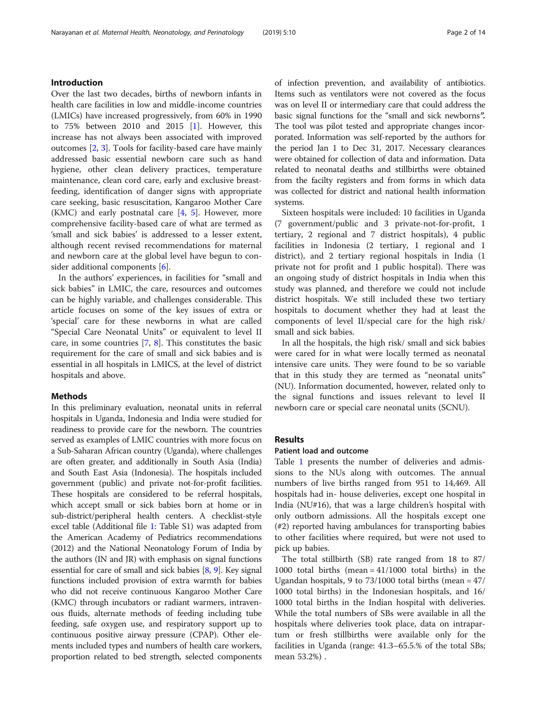#### Introduction

Over the last two decades, births of newborn infants in health care facilities in low and middle-income countries (LMICs) have increased progressively, from 60% in 1990 to 75% between 2010 and 2015 [[1\]](#page-12-0). However, this increase has not always been associated with improved outcomes [\[2](#page-12-0), [3](#page-12-0)]. Tools for facility-based care have mainly addressed basic essential newborn care such as hand hygiene, other clean delivery practices, temperature maintenance, clean cord care, early and exclusive breastfeeding, identification of danger signs with appropriate care seeking, basic resuscitation, Kangaroo Mother Care (KMC) and early postnatal care  $[4, 5]$  $[4, 5]$  $[4, 5]$ . However, more comprehensive facility-based care of what are termed as 'small and sick babies' is addressed to a lesser extent, although recent revised recommendations for maternal and newborn care at the global level have begun to consider additional components [\[6](#page-12-0)].

In the authors' experiences, in facilities for "small and sick babies" in LMIC, the care, resources and outcomes can be highly variable, and challenges considerable. This article focuses on some of the key issues of extra or 'special' care for these newborns in what are called "Special Care Neonatal Units" or equivalent to level II care, in some countries [\[7](#page-12-0), [8\]](#page-12-0). This constitutes the basic requirement for the care of small and sick babies and is essential in all hospitals in LMICS, at the level of district hospitals and above.

#### Methods

In this preliminary evaluation, neonatal units in referral hospitals in Uganda, Indonesia and India were studied for readiness to provide care for the newborn. The countries served as examples of LMIC countries with more focus on a Sub-Saharan African country (Uganda), where challenges are often greater, and additionally in South Asia (India) and South East Asia (Indonesia). The hospitals included government (public) and private not-for-profit facilities. These hospitals are considered to be referral hospitals, which accept small or sick babies born at home or in sub-district/peripheral health centers. A checklist-style excel table (Additional file [1](#page-11-0): Table S1) was adapted from the American Academy of Pediatrics recommendations (2012) and the National Neonatology Forum of India by the authors (IN and JR) with emphasis on signal functions essential for care of small and sick babies [\[8](#page-12-0), [9\]](#page-12-0). Key signal functions included provision of extra warmth for babies who did not receive continuous Kangaroo Mother Care (KMC) through incubators or radiant warmers, intravenous fluids, alternate methods of feeding including tube feeding, safe oxygen use, and respiratory support up to continuous positive airway pressure (CPAP). Other elements included types and numbers of health care workers, proportion related to bed strength, selected components of infection prevention, and availability of antibiotics. Items such as ventilators were not covered as the focus was on level II or intermediary care that could address the basic signal functions for the "small and sick newborns". The tool was pilot tested and appropriate changes incorporated. Information was self-reported by the authors for the period Jan 1 to Dec 31, 2017. Necessary clearances were obtained for collection of data and information. Data related to neonatal deaths and stillbirths were obtained from the facilty registers and from forms in which data was collected for district and national health information systems.

Sixteen hospitals were included: 10 facilities in Uganda (7 government/public and 3 private-not-for-profit, 1 tertiary, 2 regional and 7 district hospitals), 4 public facilities in Indonesia (2 tertiary, 1 regional and 1 district), and 2 tertiary regional hospitals in India (1 private not for profit and 1 public hospital). There was an ongoing study of district hospitals in India when this study was planned, and therefore we could not include district hospitals. We still included these two tertiary hospitals to document whether they had at least the components of level II/special care for the high risk/ small and sick babies.

In all the hospitals, the high risk/ small and sick babies were cared for in what were locally termed as neonatal intensive care units. They were found to be so variable that in this study they are termed as "neonatal units" (NU). Information documented, however, related only to the signal functions and issues relevant to level II newborn care or special care neonatal units (SCNU).

#### Results

#### Patient load and outcome

Table [1](#page-2-0) presents the number of deliveries and admissions to the NUs along with outcomes. The annual numbers of live births ranged from 951 to 14,469. All hospitals had in- house deliveries, except one hospital in India (NU#16), that was a large children's hospital with only outborn admissions. All the hospitals except one (#2) reported having ambulances for transporting babies to other facilities where required, but were not used to pick up babies.

The total stillbirth (SB) rate ranged from 18 to 87/ 1000 total births (mean = 41/1000 total births) in the Ugandan hospitals, 9 to 73/1000 total births (mean = 47/ 1000 total births) in the Indonesian hospitals, and 16/ 1000 total births in the Indian hospital with deliveries. While the total numbers of SBs were available in all the hospitals where deliveries took place, data on intrapartum or fresh stillbirths were available only for the facilities in Uganda (range: 41.3–65.5.% of the total SBs; mean 53.2%) .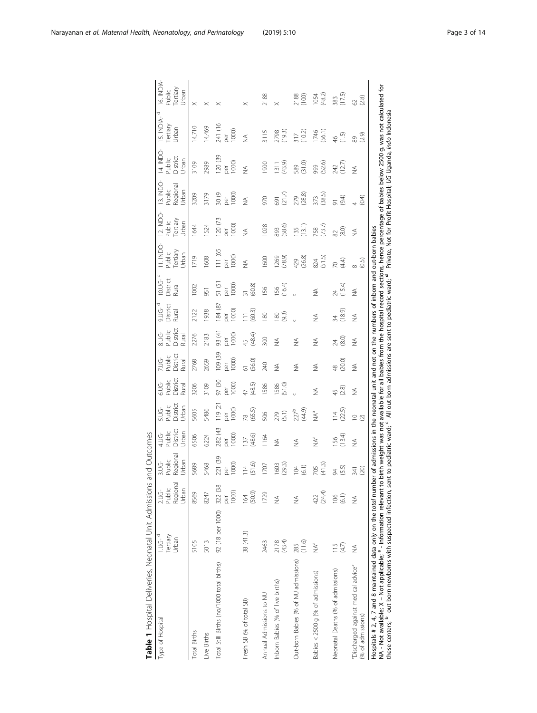| Table 1 Hospital Deliveries, Neonatal Unit Admissions                                                                                                                                                                                                                                                                                                                                                                                                                                                                                                                |                                         |                                             | and Outcomes                            |                                         |                                        |                                     |                                  |                                                |                            |                                   |                                                                                            |                                          |                                          |                                          |                                      |                                           |
|----------------------------------------------------------------------------------------------------------------------------------------------------------------------------------------------------------------------------------------------------------------------------------------------------------------------------------------------------------------------------------------------------------------------------------------------------------------------------------------------------------------------------------------------------------------------|-----------------------------------------|---------------------------------------------|-----------------------------------------|-----------------------------------------|----------------------------------------|-------------------------------------|----------------------------------|------------------------------------------------|----------------------------|-----------------------------------|--------------------------------------------------------------------------------------------|------------------------------------------|------------------------------------------|------------------------------------------|--------------------------------------|-------------------------------------------|
| Type of Hospital                                                                                                                                                                                                                                                                                                                                                                                                                                                                                                                                                     | 1.UG- <sup>d</sup><br>Tertiary<br>Urban | Regional<br>Public<br>Urban<br><b>2.UG-</b> | Regional<br>Jrban<br>Public<br>$3.0G -$ | District<br>Jrban<br>Public<br>ى<br>115 | District<br>Jrban<br>Public<br>÷<br>Di | District<br>Public<br>ene-<br>Rural | District<br>Public<br>ģ<br>Rural | Public<br>District<br>$8.0G-$<br>$\frac{2}{3}$ | District<br>Rural<br>9.UG- | District<br><b>10.UG</b><br>Rural | 11. INDO-<br>Tertiary<br>Jrban<br>Public                                                   | 12. INDO-<br>Tertiary<br>Urban<br>Public | 13. INDO-<br>Regional<br>Public<br>Jrban | 14. INDO-<br>District<br>Jrban<br>Public | Ō<br>IS. INDIA-<br>Tertiary<br>Urban | 16. INDIA-<br>Public<br>Tertiary<br>Urban |
| <b>Total Births</b>                                                                                                                                                                                                                                                                                                                                                                                                                                                                                                                                                  | 5105                                    | 8569                                        | 5689                                    | 6506                                    | 5605                                   | 3206                                | 2768                             | 2276                                           | 2122                       | 1002                              | 1719                                                                                       | 1644                                     | 3209                                     | 3109                                     | 14,710                               | $\times$                                  |
| Live Births                                                                                                                                                                                                                                                                                                                                                                                                                                                                                                                                                          | 5013                                    | 8247                                        | 5468                                    | 6224                                    | 5486                                   | 3109                                | 2659                             | 2183                                           | 1938                       | 51                                | 1608                                                                                       | 1524                                     | 3179                                     | 2989                                     | 14,469                               | $\times$                                  |
| Total Still Births (no/1000 total births)                                                                                                                                                                                                                                                                                                                                                                                                                                                                                                                            | 92 (18 per 1000)                        | 322 (38<br>1000)<br>ð                       | 221 (39<br>1000<br>ð                    | 282 (43<br>1000<br>per                  | 119 (21<br>per<br>1000)                | 97 (30<br>1000<br>ber               | 109 (39<br>1000<br>ber           | 93 (41<br>1000<br>ber                          | 184 (87<br>1000<br>ber     | 51(5)<br>per<br>1000)             | 111 (65<br>$ 000\rangle$<br>per                                                            | 120 (73<br>1000<br>ber                   | 20(9)<br>1000<br>ber                     | 120 (39<br>1000<br>ber                   | 241 (16<br>1000)<br>ber<br>O         |                                           |
| Fresh SB (% of total SB)                                                                                                                                                                                                                                                                                                                                                                                                                                                                                                                                             | 38 (41.3)                               | (50.9)<br>164                               | (51.6)<br>114                           | (48.6)<br>$\overline{37}$               | (65.5)<br>œ                            | (48.5)<br>$\overline{4}$            | (56.0)                           | (48.4)<br>$\overline{4}$                       | (60.3)<br>$\equiv$         | (60.8)                            | $\frac{1}{2}$                                                                              | $\frac{1}{2}$                            | $\frac{1}{2}$                            | $\frac{1}{2}$                            | $\frac{1}{2}$                        | $\times$                                  |
| Annual Admissions to NU                                                                                                                                                                                                                                                                                                                                                                                                                                                                                                                                              | 2463                                    | 1729                                        | 1707                                    | 1164                                    | 506                                    | 1586                                | 240                              | 500                                            | 180                        | 156                               | 1600                                                                                       | 1028                                     | 970                                      | 0061                                     | 3115                                 | 2188                                      |
| Inbom Babies (% of live births)                                                                                                                                                                                                                                                                                                                                                                                                                                                                                                                                      | (43.4)<br>2178                          | ≸                                           | (29.3)<br>1603                          | $\leq$                                  | (5.1)<br>279                           | (51.0)<br>1586                      | $\frac{1}{2}$                    | ≸                                              | (9.3)<br>180               | (16.4)<br>156                     | (78.9)<br>1269                                                                             | (58.6)<br>893                            | (21.7)<br>591                            | (43.9)<br>1311                           | (19.3)<br>2798                       | $\times$                                  |
| Out-born Babies (% of NU admissions)                                                                                                                                                                                                                                                                                                                                                                                                                                                                                                                                 | (11.6)<br>285                           | ≸                                           | (6.1)<br>104                            | $\frac{1}{2}$                           | (44.9)<br>227 <sup>b</sup>             |                                     | ≸                                | ≸                                              |                            |                                   | (26.8)<br>429                                                                              | (13.1)<br>135                            | (28.8)<br>279                            | (31.0)<br>589                            | (10.2)<br>317                        | (100)<br>2188                             |
| Babies < 2500 g (% of admissions)                                                                                                                                                                                                                                                                                                                                                                                                                                                                                                                                    | $\sum_{i=1}^{d}$                        | (24.4)<br>422                               | (41.3)<br>202                           | $\sum_{n=1}^{\infty}$                   | $\sum_{i=1}^{n}$                       | $\frac{1}{2}$                       | $\widetilde{\geq}$               | $\frac{1}{2}$                                  | $\frac{1}{2}$              | ≸                                 | (51.5)<br>824                                                                              | (73.7)<br>758                            | 373<br>(38.5)                            | (52.6)<br>999                            | (56.1)<br>1746                       | (48.2)<br>1054                            |
| Neonatal Deaths (% of admissions)                                                                                                                                                                                                                                                                                                                                                                                                                                                                                                                                    | (4.7)<br>115                            | (6.1)<br>106                                | (5.5)<br>24                             | (13.4)<br>56                            | $\frac{114}{(2.5)}$                    | (2.8)<br>45                         | (20.0)<br>$\frac{8}{4}$          | (8.0)<br>$\overline{z}$                        | 34<br>(18.9)               | (15.4)<br>4                       | 7Q<br>(4.4)                                                                                | (8.0)<br>82                              | (9.4)<br>$\overline{5}$                  | (12.7)<br>242                            | (1.5)<br>$\frac{4}{5}$               | (17.5)<br>383                             |
| "Discharged against medical advice"<br>(% of admissions)                                                                                                                                                                                                                                                                                                                                                                                                                                                                                                             | ⋚                                       | ≸                                           | (20)<br>341                             | $\frac{1}{2}$                           | $\supseteq$                            | ≸                                   | ≸                                | ≸                                              | ≸                          | ≸                                 | 8<br>0.5)                                                                                  | ≸                                        | (0.4)                                    | $\frac{1}{2}$                            | (2.9)<br>89                          | 62<br>(2.8)                               |
| NA - Not available; X – Not applicable; <sup>a</sup> – Information relevant to birth weight was not available for all babies from the hospital record sections, hence percentage of babies below 2500 g. was not calculated for<br>these centers; <sup>b</sup> - out-born newborns with suspected infection, sent to pediatric ward; <sup>c</sup> . All out-born admissions are sent to pediatric ward; <sup>d</sup> - Private, Not for Profit Hospital; <i>UG</i> Uganda, <i>Indo</i> Indonesia<br>Hospitals # 2, 4, 7 and 8 maintained data only on the total numb |                                         |                                             |                                         |                                         |                                        |                                     |                                  |                                                |                            |                                   | er of admissions in the neonatal unit and not on the numbers of inborn and out-born babies |                                          |                                          |                                          |                                      |                                           |

<span id="page-2-0"></span>Narayanan et al. Maternal Health, Neonatology, and Perinatology (2019) 5:10 Page 3 of 14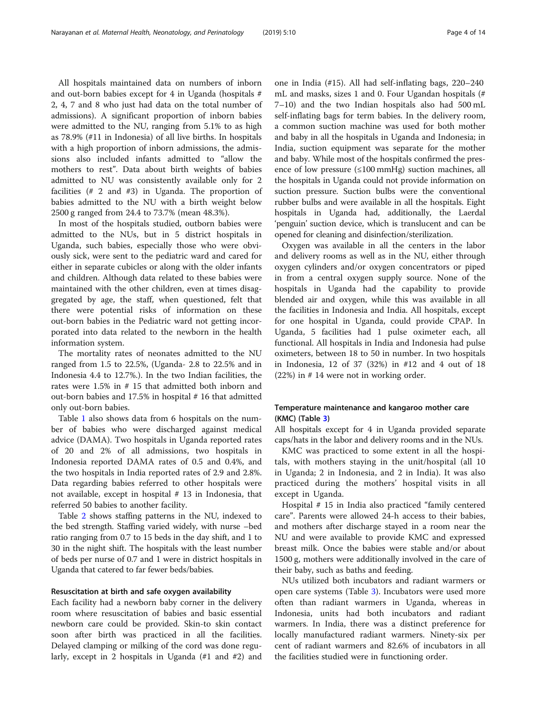All hospitals maintained data on numbers of inborn and out-born babies except for 4 in Uganda (hospitals # 2, 4, 7 and 8 who just had data on the total number of admissions). A significant proportion of inborn babies were admitted to the NU, ranging from 5.1% to as high as 78.9% (#11 in Indonesia) of all live births. In hospitals with a high proportion of inborn admissions, the admissions also included infants admitted to "allow the mothers to rest". Data about birth weights of babies admitted to NU was consistently available only for 2 facilities (# 2 and #3) in Uganda. The proportion of babies admitted to the NU with a birth weight below 2500 g ranged from 24.4 to 73.7% (mean 48.3%).

In most of the hospitals studied, outborn babies were admitted to the NUs, but in 5 district hospitals in Uganda, such babies, especially those who were obviously sick, were sent to the pediatric ward and cared for either in separate cubicles or along with the older infants and children. Although data related to these babies were maintained with the other children, even at times disaggregated by age, the staff, when questioned, felt that there were potential risks of information on these out-born babies in the Pediatric ward not getting incorporated into data related to the newborn in the health information system.

The mortality rates of neonates admitted to the NU ranged from 1.5 to 22.5%, (Uganda- 2.8 to 22.5% and in Indonesia 4.4 to 12.7%.). In the two Indian facilities, the rates were 1.5% in # 15 that admitted both inborn and out-born babies and 17.5% in hospital # 16 that admitted only out-born babies.

Table [1](#page-2-0) also shows data from 6 hospitals on the number of babies who were discharged against medical advice (DAMA). Two hospitals in Uganda reported rates of 20 and 2% of all admissions, two hospitals in Indonesia reported DAMA rates of 0.5 and 0.4%, and the two hospitals in India reported rates of 2.9 and 2.8%. Data regarding babies referred to other hospitals were not available, except in hospital # 13 in Indonesia, that referred 50 babies to another facility.

Table [2](#page-4-0) shows staffing patterns in the NU, indexed to the bed strength. Staffing varied widely, with nurse –bed ratio ranging from 0.7 to 15 beds in the day shift, and 1 to 30 in the night shift. The hospitals with the least number of beds per nurse of 0.7 and 1 were in district hospitals in Uganda that catered to far fewer beds/babies.

#### Resuscitation at birth and safe oxygen availability

Each facility had a newborn baby corner in the delivery room where resuscitation of babies and basic essential newborn care could be provided. Skin-to skin contact soon after birth was practiced in all the facilities. Delayed clamping or milking of the cord was done regularly, except in 2 hospitals in Uganda (#1 and #2) and one in India (#15). All had self-inflating bags, 220–240 mL and masks, sizes 1 and 0. Four Ugandan hospitals (# 7–10) and the two Indian hospitals also had 500 mL self-inflating bags for term babies. In the delivery room, a common suction machine was used for both mother and baby in all the hospitals in Uganda and Indonesia; in India, suction equipment was separate for the mother and baby. While most of the hospitals confirmed the presence of low pressure  $(\leq 100 \text{ mmHg})$  suction machines, all the hospitals in Uganda could not provide information on suction pressure. Suction bulbs were the conventional rubber bulbs and were available in all the hospitals. Eight hospitals in Uganda had, additionally, the Laerdal 'penguin' suction device, which is translucent and can be opened for cleaning and disinfection/sterilization.

Oxygen was available in all the centers in the labor and delivery rooms as well as in the NU, either through oxygen cylinders and/or oxygen concentrators or piped in from a central oxygen supply source. None of the hospitals in Uganda had the capability to provide blended air and oxygen, while this was available in all the facilities in Indonesia and India. All hospitals, except for one hospital in Uganda, could provide CPAP. In Uganda, 5 facilities had 1 pulse oximeter each, all functional. All hospitals in India and Indonesia had pulse oximeters, between 18 to 50 in number. In two hospitals in Indonesia, 12 of 37 (32%) in #12 and 4 out of 18 (22%) in # 14 were not in working order.

#### Temperature maintenance and kangaroo mother care (KMC) (Table [3](#page-5-0))

All hospitals except for 4 in Uganda provided separate caps/hats in the labor and delivery rooms and in the NUs.

KMC was practiced to some extent in all the hospitals, with mothers staying in the unit/hospital (all 10 in Uganda; 2 in Indonesia, and 2 in India). It was also practiced during the mothers' hospital visits in all except in Uganda.

Hospital # 15 in India also practiced "family centered care". Parents were allowed 24-h access to their babies, and mothers after discharge stayed in a room near the NU and were available to provide KMC and expressed breast milk. Once the babies were stable and/or about 1500 g, mothers were additionally involved in the care of their baby, such as baths and feeding.

NUs utilized both incubators and radiant warmers or open care systems (Table [3\)](#page-5-0). Incubators were used more often than radiant warmers in Uganda, whereas in Indonesia, units had both incubators and radiant warmers. In India, there was a distinct preference for locally manufactured radiant warmers. Ninety-six per cent of radiant warmers and 82.6% of incubators in all the facilities studied were in functioning order.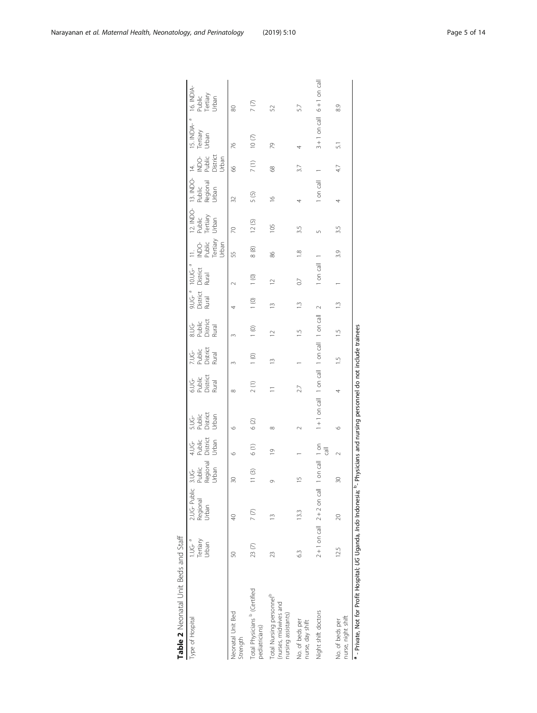<span id="page-4-0"></span>

| Type of Hospital                                                                                                                           | 1.UG- <sup>a</sup><br>Tertiary | 2.UG-Public<br>Regional         | $\frac{3.06}{P}$ | 4.UG-<br>Public | s.UG<br>Public<br>District                  | 6.UG<br>Public<br>District<br>Rural | 7.UG<br>Public<br>District<br>Rural | 8.UG<br>Public<br>District<br>Rual | 9.UG- <sup>a</sup><br>District<br>Rural | 10.UG- <sup>a</sup><br>District<br>Rural | $\frac{1}{2}$                         | 12. INDO-<br>Public | 13. INDO-<br>Public<br>Regional<br>Urban | $\frac{4}{1}$                      | 15. INDIA- <sup>a</sup><br>Tertiary | 16. INDIA-<br>Public<br>Tertiary<br>Urban |
|--------------------------------------------------------------------------------------------------------------------------------------------|--------------------------------|---------------------------------|------------------|-----------------|---------------------------------------------|-------------------------------------|-------------------------------------|------------------------------------|-----------------------------------------|------------------------------------------|---------------------------------------|---------------------|------------------------------------------|------------------------------------|-------------------------------------|-------------------------------------------|
|                                                                                                                                            | Urban                          | Urban                           | Regional         | District        |                                             |                                     |                                     |                                    |                                         |                                          |                                       | Tertiary            |                                          |                                    | Urban                               |                                           |
|                                                                                                                                            |                                |                                 | Urban            | Urban           | Urban                                       |                                     |                                     |                                    |                                         |                                          | NDO-<br>Public<br>Tertiary<br>Urban   | Urban               |                                          | NDO<br>Public<br>District<br>Urban |                                     |                                           |
| Neonatal Unit Bed<br>Strength                                                                                                              | SO                             | S                               | $\approx$        | O               | c                                           | $\infty$                            |                                     |                                    |                                         |                                          | 55                                    | R                   | 32                                       | 8                                  | 76                                  | 80                                        |
| Total Physicians <sup>b</sup> (Certified<br>pediatricians)                                                                                 | 23(7)                          | 7(7)                            | 11(3)            | 6(1)            | $6(2)$                                      | 2(1)                                | 1(0)                                | $\frac{1}{2}$                      | 1(0)                                    | $\begin{matrix} 1 & 0 \end{matrix}$      | $\begin{array}{c} 8 \\ 8 \end{array}$ | 12(5)               | 5(5)                                     | 7(1)                               | $10(7)$                             | 7(7)                                      |
| Total Nursing personnel <sup>p</sup><br>(nurses, midwives and<br>nursing assistants)                                                       | 23                             | $\tilde{=}$                     | Ō                | $\overline{0}$  | $^{\circ}$                                  |                                     |                                     | $\approx$                          | $\frac{1}{2}$                           | $\approx$                                | 86                                    | 105                 | $\frac{1}{2}$                            | 89                                 | R                                   | 52                                        |
| No. of beds per<br>nurse, day shift                                                                                                        | 63                             | 13.3                            | $\frac{5}{1}$    |                 |                                             |                                     |                                     | $\frac{5}{1}$                      | $\frac{1}{2}$                           | G                                        | $\frac{8}{1}$                         | 3.5                 | 4                                        | 37                                 | 4                                   | 5.7                                       |
| Night shift doctors                                                                                                                        |                                | $2 + 1$ on call $2 + 2$ on call | 1 on call 1 on   | $\overline{5}$  | 1+1 on call 1 on call 1 on call 1 on call 2 |                                     |                                     |                                    |                                         | 1 on call                                |                                       |                     | 1 on call                                |                                    | $3 + 1$ on call $6 + 1$ on call     |                                           |
| nurse, night shift<br>No. of beds per                                                                                                      | 125                            | 20                              | 30               |                 |                                             |                                     | $\frac{5}{1}$                       | $\frac{5}{1}$                      | $\frac{1}{2}$                           |                                          | 3.9                                   | 3.5                 | 4                                        | 47                                 | 51                                  | 83                                        |
| $\alpha$ - Private Not for Profit Hospital: (IG Ugapda, Indo Indonesia: $\beta$ - Physicians and pursing personnel do not include trainees |                                |                                 |                  |                 |                                             |                                     |                                     |                                    |                                         |                                          |                                       |                     |                                          |                                    |                                     |                                           |

| Unit Beds and Staff | ة عا             |
|---------------------|------------------|
| Table 2 Neonatal I  | Type of Hospital |

Private, Not for Profit Hospital; UG Uganda, Indo Indonesia; <sup>p</sup>- Physicians and nursing personnel do not include trainees - Private, Not for Profit Hospital; UG Uganda, Indo Indonesia; b- Physicians and nursing personnel do not include trainees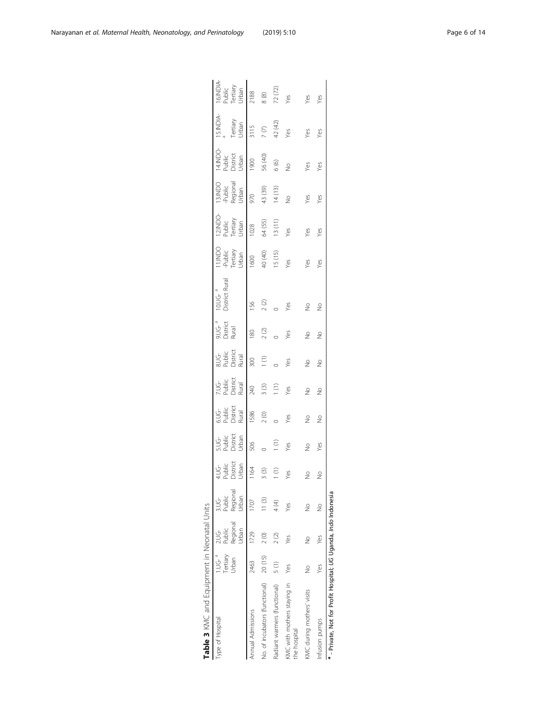<span id="page-5-0"></span>

| Type of Hospital                                                | Tertiary<br>1.0G <sup>a</sup><br>Jrban | Regional<br>상<br>공항<br>Public<br>Jrban | Regional<br>$\frac{1}{2}$ $\frac{1}{2}$<br>Urban | 4.UG<br>Public<br>District<br>J Pan | s.U.G<br>Public<br>District<br>U.Ban | s.U.G<br>Public<br>District<br>Rural | 7.UG<br>Public<br>Aural<br>Rural | a.U.G<br>Public<br>Rural<br>Rural | ว.UG- <sup>a</sup><br>District<br>Rural | 10.UG- <sup>a</sup><br>District Rural | 11.INDO<br>Public<br>Tertiary<br>Urban | 12.INDO-<br>Public<br>Tertiary<br>Urban                               | 13.INDO<br>-Public<br>Regional<br>Urban | 14.INDO-<br>Public<br>District<br>Urban | 15.INDIA-<br>Tertiary<br>Urban  | 16.NDIA<br>Public<br>Tertiary<br>Urban<br>2188<br>8 (8)<br>8 (22)<br>22 (72) |
|-----------------------------------------------------------------|----------------------------------------|----------------------------------------|--------------------------------------------------|-------------------------------------|--------------------------------------|--------------------------------------|----------------------------------|-----------------------------------|-----------------------------------------|---------------------------------------|----------------------------------------|-----------------------------------------------------------------------|-----------------------------------------|-----------------------------------------|---------------------------------|------------------------------------------------------------------------------|
| Annual Admissions                                               | 2463                                   | 1729                                   | 1707                                             | $\frac{1164}{5}$                    | 506                                  | 1586                                 | $0 + 2$                          | 300                               | $\frac{180}{2}$                         | 156                                   |                                        |                                                                       |                                         |                                         |                                 |                                                                              |
| No. of incubators (functional) 20 (15)                          |                                        | 2(0)                                   | 11(3)                                            | 3(3)                                |                                      | 2(0)                                 | 3(3)                             | $\widehat{\Xi}$                   | $2\ (2)$                                | $2$ $\circled{2}$                     | $1600$<br>40 (40)<br>15 (15)           | $\begin{array}{c} 1028 \\ 64 \quad (55) \\ 13 \quad (11) \end{array}$ | 970<br>43 (39)<br>14 (13)               | $1900$<br>56 (40)<br>6 (6)              | 3115<br>7 (7)<br>42 (42)<br>Yes |                                                                              |
| Radiant warmers (functional)                                    | 5(1)                                   | 2(2)                                   | 4 (4)                                            | $\left(1\right)$                    | Ξ                                    |                                      | $\widehat{\Xi}$                  |                                   |                                         |                                       |                                        |                                                                       |                                         |                                         |                                 |                                                                              |
| KMC with mothers staying in<br>the hospital                     | Yes                                    | Yes                                    | Yes                                              | Yes                                 | Yes                                  | Yes                                  | Yes                              | Yes                               | Yes                                     | Yes                                   | Yes                                    | Yes                                                                   | $\frac{9}{2}$                           | $\frac{9}{2}$                           |                                 |                                                                              |
| KMC during mothers' visits                                      | $\frac{1}{2}$                          | $\geq$                                 | $\geq$                                           | $\frac{1}{2}$                       | $\stackrel{\circ}{\geq}$             | $\frac{1}{2}$                        | $\frac{9}{2}$                    | e<br>S                            | e<br>S                                  | e<br>S                                | Yes                                    | Yes                                                                   | Yes                                     | Yes                                     | Yes                             | Yes                                                                          |
| Infusion pumps                                                  | Yes                                    | Yes                                    |                                                  | $\frac{1}{2}$                       | Yes                                  | $\frac{1}{2}$                        | $\frac{1}{2}$                    | $\frac{1}{2}$                     | $\frac{1}{2}$                           | $\frac{1}{2}$                         | Yes                                    | Yes                                                                   | Yes                                     | Yes                                     | Yes                             | Yes                                                                          |
| a - Private, Not for Profit Hospital; UG Uganda, Indo Indonesia |                                        |                                        |                                                  |                                     |                                      |                                      |                                  |                                   |                                         |                                       |                                        |                                                                       |                                         |                                         |                                 |                                                                              |

Table 3 KMC and Equipment in Neonatal Units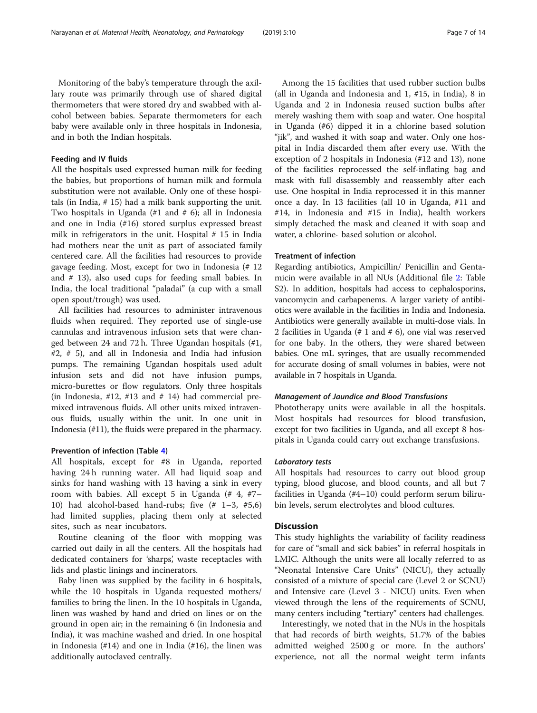Monitoring of the baby's temperature through the axillary route was primarily through use of shared digital thermometers that were stored dry and swabbed with alcohol between babies. Separate thermometers for each baby were available only in three hospitals in Indonesia, and in both the Indian hospitals.

#### Feeding and IV fluids

All the hospitals used expressed human milk for feeding the babies, but proportions of human milk and formula substitution were not available. Only one of these hospitals (in India, # 15) had a milk bank supporting the unit. Two hospitals in Uganda (#1 and # 6); all in Indonesia and one in India (#16) stored surplus expressed breast milk in refrigerators in the unit. Hospital # 15 in India had mothers near the unit as part of associated family centered care. All the facilities had resources to provide gavage feeding. Most, except for two in Indonesia (# 12 and # 13), also used cups for feeding small babies. In India, the local traditional "paladai" (a cup with a small open spout/trough) was used.

All facilities had resources to administer intravenous fluids when required. They reported use of single-use cannulas and intravenous infusion sets that were changed between 24 and 72 h. Three Ugandan hospitals (#1, #2, # 5), and all in Indonesia and India had infusion pumps. The remaining Ugandan hospitals used adult infusion sets and did not have infusion pumps, micro-burettes or flow regulators. Only three hospitals (in Indonesia,  $\#12$ ,  $\#13$  and  $\#14$ ) had commercial premixed intravenous fluids. All other units mixed intravenous fluids, usually within the unit. In one unit in Indonesia (#11), the fluids were prepared in the pharmacy.

#### Prevention of infection (Table [4\)](#page-7-0)

All hospitals, except for #8 in Uganda, reported having 24 h running water. All had liquid soap and sinks for hand washing with 13 having a sink in every room with babies. All except 5 in Uganda (# 4, #7– 10) had alcohol-based hand-rubs; five (# 1–3, #5,6) had limited supplies, placing them only at selected sites, such as near incubators.

Routine cleaning of the floor with mopping was carried out daily in all the centers. All the hospitals had dedicated containers for 'sharps', waste receptacles with lids and plastic linings and incinerators.

Baby linen was supplied by the facility in 6 hospitals, while the 10 hospitals in Uganda requested mothers/ families to bring the linen. In the 10 hospitals in Uganda, linen was washed by hand and dried on lines or on the ground in open air; in the remaining 6 (in Indonesia and India), it was machine washed and dried. In one hospital in Indonesia (#14) and one in India (#16), the linen was additionally autoclaved centrally.

Among the 15 facilities that used rubber suction bulbs (all in Uganda and Indonesia and 1, #15, in India), 8 in Uganda and 2 in Indonesia reused suction bulbs after merely washing them with soap and water. One hospital in Uganda (#6) dipped it in a chlorine based solution "jik", and washed it with soap and water. Only one hospital in India discarded them after every use. With the exception of 2 hospitals in Indonesia (#12 and 13), none of the facilities reprocessed the self-inflating bag and mask with full disassembly and reassembly after each use. One hospital in India reprocessed it in this manner once a day. In 13 facilities (all 10 in Uganda, #11 and #14, in Indonesia and #15 in India), health workers simply detached the mask and cleaned it with soap and water, a chlorine- based solution or alcohol.

#### Treatment of infection

Regarding antibiotics, Ampicillin/ Penicillin and Gentamicin were available in all NUs (Additional file [2:](#page-11-0) Table S2). In addition, hospitals had access to cephalosporins, vancomycin and carbapenems. A larger variety of antibiotics were available in the facilities in India and Indonesia. Antibiotics were generally available in multi-dose vials. In 2 facilities in Uganda (# 1 and # 6), one vial was reserved for one baby. In the others, they were shared between babies. One mL syringes, that are usually recommended for accurate dosing of small volumes in babies, were not available in 7 hospitals in Uganda.

#### Management of Jaundice and Blood Transfusions

Phototherapy units were available in all the hospitals. Most hospitals had resources for blood transfusion, except for two facilities in Uganda, and all except 8 hospitals in Uganda could carry out exchange transfusions.

#### Laboratory tests

All hospitals had resources to carry out blood group typing, blood glucose, and blood counts, and all but 7 facilities in Uganda (#4–10) could perform serum bilirubin levels, serum electrolytes and blood cultures.

#### **Discussion**

This study highlights the variability of facility readiness for care of "small and sick babies" in referral hospitals in LMIC. Although the units were all locally referred to as "Neonatal Intensive Care Units" (NICU), they actually consisted of a mixture of special care (Level 2 or SCNU) and Intensive care (Level 3 - NICU) units. Even when viewed through the lens of the requirements of SCNU, many centers including "tertiary" centers had challenges.

Interestingly, we noted that in the NUs in the hospitals that had records of birth weights, 51.7% of the babies admitted weighed 2500 g or more. In the authors' experience, not all the normal weight term infants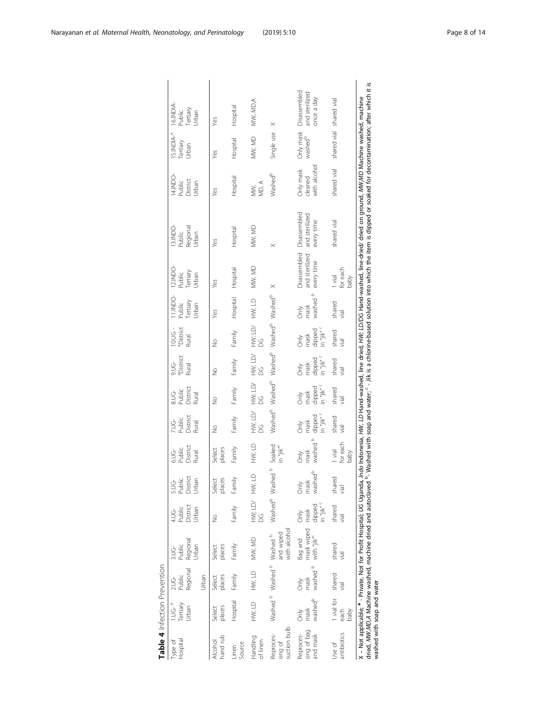| Table 4 Infection Prevention         |                                         |                                             |                                                  |                                                   |                                         |                                     |                                                          |                                                                 |                                                  |                                                                                                     |                                             |                                              |                                                                                                                                                                                                                                                                                                                                                                                                                                                                            |                                        |                                             |                                              |
|--------------------------------------|-----------------------------------------|---------------------------------------------|--------------------------------------------------|---------------------------------------------------|-----------------------------------------|-------------------------------------|----------------------------------------------------------|-----------------------------------------------------------------|--------------------------------------------------|-----------------------------------------------------------------------------------------------------|---------------------------------------------|----------------------------------------------|----------------------------------------------------------------------------------------------------------------------------------------------------------------------------------------------------------------------------------------------------------------------------------------------------------------------------------------------------------------------------------------------------------------------------------------------------------------------------|----------------------------------------|---------------------------------------------|----------------------------------------------|
| Hospital<br>Type of                  | 1.UG- <sup>a</sup><br>Tertiary<br>Urban | Regional<br>Public<br>Urban<br><b>2.UG-</b> | Regional<br>Jrban<br>Public<br>3.UG-             | District<br>Urban<br>Public<br>4.UG               | 5.UG<br>Public<br>District<br>Urban     | 6.UG<br>Public<br>District<br>Rural | District<br>Public<br>Rural<br>ٺي<br>ج                   | District<br>8.UG-<br>Public<br>Rural                            | a <sub>District</sub><br>9.UG<br>Rural           | 10.UG -<br><sup>a</sup> District<br>Rural                                                           | 11.INDO-<br>Tertiary<br>Public<br>Urban     | 12.INDO<br>Tertiary<br>Public<br>Urban       | 13.INDO<br>Regional<br>Public<br>Urban                                                                                                                                                                                                                                                                                                                                                                                                                                     | 14.INDO<br>District<br>Public<br>Jrban | IS.INDIA- <sup>a</sup><br>Tertiary<br>Urban | 16.INDIA<br>Tertiary<br>Public<br>Urban      |
| hand rub<br>Alcohol                  | places<br>Select                        | places<br>Select                            | places<br>Select                                 | ş                                                 | places<br>Select                        | places<br>Select                    | $\frac{1}{2}$                                            | $\frac{1}{2}$                                                   | $\frac{1}{2}$                                    | $\frac{1}{2}$                                                                                       | Yes                                         | Yes                                          | Yes                                                                                                                                                                                                                                                                                                                                                                                                                                                                        | Yes                                    | Yes                                         | Yes                                          |
| Source<br>Linen                      | Hospital                                | Family                                      | Family                                           | Family                                            | Family                                  | Family                              | Family                                                   | Family                                                          | Family                                           | Family                                                                                              | Hospital                                    | Hospital                                     | Hospital                                                                                                                                                                                                                                                                                                                                                                                                                                                                   | Hospital                               | Hospital                                    | Hospital                                     |
| Handling<br>of linen                 | HW, LD                                  | HW, LD MW, MD                               |                                                  | HW; LD/ HW,<br>SQ                                 | $\supseteq$                             | HW, LD                              | HW; LD/<br>8                                             | HW; LD/<br>g                                                    | HW; LD/<br>DG                                    | HN; LD/<br>8                                                                                        | HW, LD                                      | MW, MD                                       | MW, MD                                                                                                                                                                                                                                                                                                                                                                                                                                                                     | MD, $\mathsf{A}$<br>ХW,                | MW, MD                                      | MW, MD,A                                     |
| suction bulb<br>Reproces-<br>sing of |                                         | Washed b Washed b Washed b                  | with alcohol<br>and wiped                        |                                                   | Washed <sup>p</sup> Washed <sup>b</sup> | Soaked<br>in "jik" <sup>c</sup>     |                                                          |                                                                 |                                                  | Washed <sup>b</sup> Washed <sup>b</sup> Washed <sup>b</sup> Washed <sup>b</sup> Washed <sup>b</sup> |                                             | $\times$                                     |                                                                                                                                                                                                                                                                                                                                                                                                                                                                            | Washed <sup>b</sup>                    | Single use                                  | $\times$                                     |
| sing of bag<br>and mask<br>Reproces- | washed <sup>b</sup><br>mask<br>ðnly     | washed b<br>mask<br>$rac{\geq}{6}$          | Bag and<br>mask wiped<br>with "jik" <sup>c</sup> | dipped<br>in "jik" <sup>c</sup><br>mask<br>ð<br>S | washed <sup>b</sup><br>δŃ<br>mas        | washed<br>mask<br>Only              | in "jik" <sup>c</sup><br>mask<br>dipped<br>$\frac{1}{2}$ | dipped<br>in "jik" <sup>c</sup><br>mask<br>$\overrightarrow{5}$ | dipped<br>in "jik" c<br>mask<br>$\sum_{i=1}^{n}$ | dipped<br>in "jik" <sup>c</sup><br>mask<br>$\sum_{i=1}^{n}$                                         | washed<br>mask<br>$\overrightarrow{\delta}$ | Disassembled<br>and sterilized<br>every time | Disassembled<br>and sterilized<br>every time                                                                                                                                                                                                                                                                                                                                                                                                                               | with alcohol<br>Only mask<br>cleaned   | Only mask<br>washed <sup>b</sup>            | Disassembled<br>and sterilized<br>once a day |
| antibiotics<br>Use of                | 1 vial for shared<br>each<br>baby       | $\overline{\overline{z}}$                   | shared<br>$\overline{a}$                         | shared<br>jai                                     | shared<br>jisi                          | for each<br>l vial<br>baby          | shared<br>$\frac{1}{2}$                                  | shared<br>yial                                                  | shared<br>jal                                    | shared<br>$\overline{\overline{e}}$                                                                 | shared<br>$\overline{a}$                    | 1 vial<br>for each<br>baby                   | shared vial                                                                                                                                                                                                                                                                                                                                                                                                                                                                | shared vial                            | shared vial                                 | shared vial                                  |
| washed with soap and water           |                                         |                                             |                                                  |                                                   |                                         |                                     |                                                          |                                                                 |                                                  |                                                                                                     |                                             |                                              | dried, NIW,MD,A Machine washed, machine dried and autoclaved <sup>b</sup> - Washed with soap and water; <sup>c</sup> - Jik is a chlorine-based solution into which the item is dipped or soaked for decontamination; after which it is<br>X – Not applicable; <sup>a</sup> - Private, Not for Profit Hospital; UG Uganda, I <i>ndo</i> Indonesia, <i>HW, LD Hand-washed, line dried, HW; LD/DG Hand-washed, line-dried/ dried on ground, MW,MD Machine washed, machine</i> |                                        |                                             |                                              |

<span id="page-7-0"></span>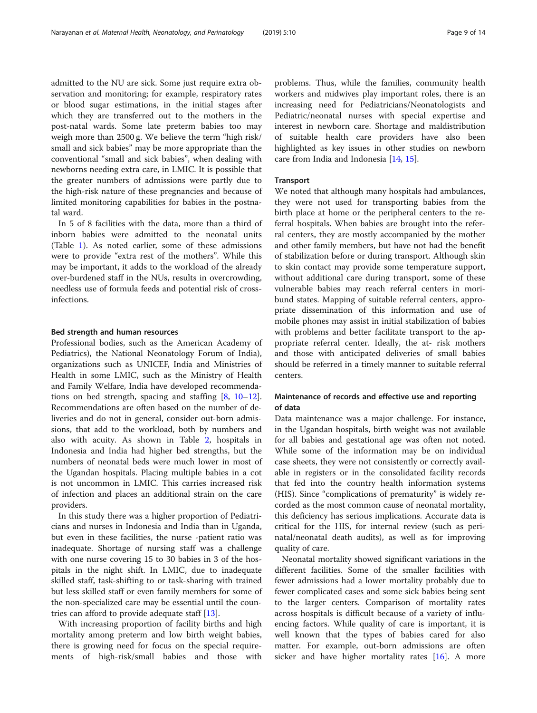admitted to the NU are sick. Some just require extra observation and monitoring; for example, respiratory rates or blood sugar estimations, in the initial stages after which they are transferred out to the mothers in the post-natal wards. Some late preterm babies too may weigh more than 2500 g. We believe the term "high risk/ small and sick babies" may be more appropriate than the conventional "small and sick babies", when dealing with newborns needing extra care, in LMIC. It is possible that the greater numbers of admissions were partly due to the high-risk nature of these pregnancies and because of limited monitoring capabilities for babies in the postnatal ward.

In 5 of 8 facilities with the data, more than a third of inborn babies were admitted to the neonatal units (Table [1](#page-2-0)). As noted earlier, some of these admissions were to provide "extra rest of the mothers". While this may be important, it adds to the workload of the already over-burdened staff in the NUs, results in overcrowding, needless use of formula feeds and potential risk of crossinfections.

#### Bed strength and human resources

Professional bodies, such as the American Academy of Pediatrics), the National Neonatology Forum of India), organizations such as UNICEF, India and Ministries of Health in some LMIC, such as the Ministry of Health and Family Welfare, India have developed recommendations on bed strength, spacing and staffing [\[8,](#page-12-0) [10](#page-12-0)–[12](#page-12-0)]. Recommendations are often based on the number of deliveries and do not in general, consider out-born admissions, that add to the workload, both by numbers and also with acuity. As shown in Table [2](#page-4-0), hospitals in Indonesia and India had higher bed strengths, but the numbers of neonatal beds were much lower in most of the Ugandan hospitals. Placing multiple babies in a cot is not uncommon in LMIC. This carries increased risk of infection and places an additional strain on the care providers.

In this study there was a higher proportion of Pediatricians and nurses in Indonesia and India than in Uganda, but even in these facilities, the nurse -patient ratio was inadequate. Shortage of nursing staff was a challenge with one nurse covering 15 to 30 babies in 3 of the hospitals in the night shift. In LMIC, due to inadequate skilled staff, task-shifting to or task-sharing with trained but less skilled staff or even family members for some of the non-specialized care may be essential until the countries can afford to provide adequate staff [[13\]](#page-12-0).

With increasing proportion of facility births and high mortality among preterm and low birth weight babies, there is growing need for focus on the special requirements of high-risk/small babies and those with problems. Thus, while the families, community health workers and midwives play important roles, there is an increasing need for Pediatricians/Neonatologists and Pediatric/neonatal nurses with special expertise and interest in newborn care. Shortage and maldistribution of suitable health care providers have also been highlighted as key issues in other studies on newborn care from India and Indonesia [[14,](#page-12-0) [15](#page-12-0)].

#### **Transport**

We noted that although many hospitals had ambulances, they were not used for transporting babies from the birth place at home or the peripheral centers to the referral hospitals. When babies are brought into the referral centers, they are mostly accompanied by the mother and other family members, but have not had the benefit of stabilization before or during transport. Although skin to skin contact may provide some temperature support, without additional care during transport, some of these vulnerable babies may reach referral centers in moribund states. Mapping of suitable referral centers, appropriate dissemination of this information and use of mobile phones may assist in initial stabilization of babies with problems and better facilitate transport to the appropriate referral center. Ideally, the at- risk mothers and those with anticipated deliveries of small babies should be referred in a timely manner to suitable referral centers.

#### Maintenance of records and effective use and reporting of data

Data maintenance was a major challenge. For instance, in the Ugandan hospitals, birth weight was not available for all babies and gestational age was often not noted. While some of the information may be on individual case sheets, they were not consistently or correctly available in registers or in the consolidated facility records that fed into the country health information systems (HIS). Since "complications of prematurity" is widely recorded as the most common cause of neonatal mortality, this deficiency has serious implications. Accurate data is critical for the HIS, for internal review (such as perinatal/neonatal death audits), as well as for improving quality of care.

Neonatal mortality showed significant variations in the different facilities. Some of the smaller facilities with fewer admissions had a lower mortality probably due to fewer complicated cases and some sick babies being sent to the larger centers. Comparison of mortality rates across hospitals is difficult because of a variety of influencing factors. While quality of care is important, it is well known that the types of babies cared for also matter. For example, out-born admissions are often sicker and have higher mortality rates  $[16]$  $[16]$ . A more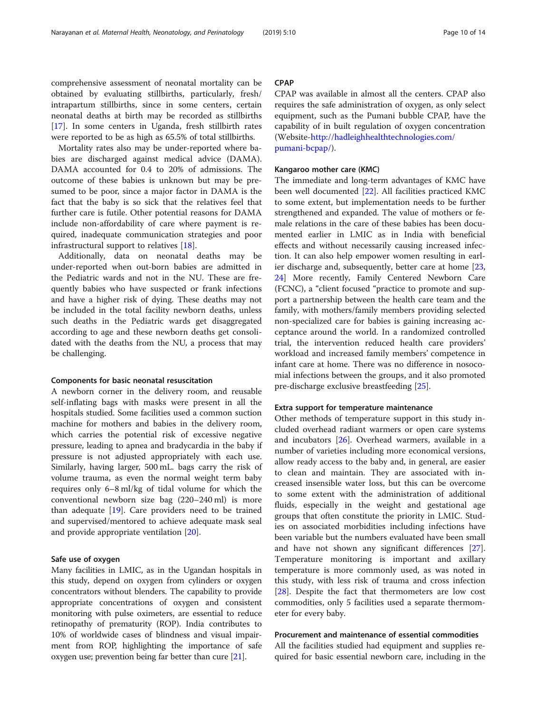comprehensive assessment of neonatal mortality can be obtained by evaluating stillbirths, particularly, fresh/ intrapartum stillbirths, since in some centers, certain neonatal deaths at birth may be recorded as stillbirths [[17\]](#page-12-0). In some centers in Uganda, fresh stillbirth rates were reported to be as high as 65.5% of total stillbirths.

Mortality rates also may be under-reported where babies are discharged against medical advice (DAMA). DAMA accounted for 0.4 to 20% of admissions. The outcome of these babies is unknown but may be presumed to be poor, since a major factor in DAMA is the fact that the baby is so sick that the relatives feel that further care is futile. Other potential reasons for DAMA include non-affordability of care where payment is required, inadequate communication strategies and poor infrastructural support to relatives [\[18](#page-12-0)].

Additionally, data on neonatal deaths may be under-reported when out-born babies are admitted in the Pediatric wards and not in the NU. These are frequently babies who have suspected or frank infections and have a higher risk of dying. These deaths may not be included in the total facility newborn deaths, unless such deaths in the Pediatric wards get disaggregated according to age and these newborn deaths get consolidated with the deaths from the NU, a process that may be challenging.

#### Components for basic neonatal resuscitation

A newborn corner in the delivery room, and reusable self-inflating bags with masks were present in all the hospitals studied. Some facilities used a common suction machine for mothers and babies in the delivery room, which carries the potential risk of excessive negative pressure, leading to apnea and bradycardia in the baby if pressure is not adjusted appropriately with each use. Similarly, having larger, 500 mL. bags carry the risk of volume trauma, as even the normal weight term baby requires only 6–8 ml/kg of tidal volume for which the conventional newborn size bag (220–240 ml) is more than adequate [\[19\]](#page-12-0). Care providers need to be trained and supervised/mentored to achieve adequate mask seal and provide appropriate ventilation [[20\]](#page-12-0).

#### Safe use of oxygen

Many facilities in LMIC, as in the Ugandan hospitals in this study, depend on oxygen from cylinders or oxygen concentrators without blenders. The capability to provide appropriate concentrations of oxygen and consistent monitoring with pulse oximeters, are essential to reduce retinopathy of prematurity (ROP). India contributes to 10% of worldwide cases of blindness and visual impairment from ROP, highlighting the importance of safe oxygen use; prevention being far better than cure [[21](#page-12-0)].

#### **CPAP**

CPAP was available in almost all the centers. CPAP also requires the safe administration of oxygen, as only select equipment, such as the Pumani bubble CPAP, have the capability of in built regulation of oxygen concentration (Website-[http://hadleighhealthtechnologies.com/](http://hadleighhealthtechnologies.com/pumani-bcpap/) [pumani-bcpap/](http://hadleighhealthtechnologies.com/pumani-bcpap/)).

#### Kangaroo mother care (KMC)

The immediate and long-term advantages of KMC have been well documented [[22\]](#page-12-0). All facilities practiced KMC to some extent, but implementation needs to be further strengthened and expanded. The value of mothers or female relations in the care of these babies has been documented earlier in LMIC as in India with beneficial effects and without necessarily causing increased infection. It can also help empower women resulting in earlier discharge and, subsequently, better care at home [[23](#page-12-0), [24\]](#page-12-0) More recently, Family Centered Newborn Care (FCNC), a "client focused "practice to promote and support a partnership between the health care team and the family, with mothers/family members providing selected non-specialized care for babies is gaining increasing acceptance around the world. In a randomized controlled trial, the intervention reduced health care providers' workload and increased family members' competence in infant care at home. There was no difference in nosocomial infections between the groups, and it also promoted pre-discharge exclusive breastfeeding [[25\]](#page-12-0).

#### Extra support for temperature maintenance

Other methods of temperature support in this study included overhead radiant warmers or open care systems and incubators [\[26](#page-12-0)]. Overhead warmers, available in a number of varieties including more economical versions, allow ready access to the baby and, in general, are easier to clean and maintain. They are associated with increased insensible water loss, but this can be overcome to some extent with the administration of additional fluids, especially in the weight and gestational age groups that often constitute the priority in LMIC. Studies on associated morbidities including infections have been variable but the numbers evaluated have been small and have not shown any significant differences [\[27](#page-12-0)]. Temperature monitoring is important and axillary temperature is more commonly used, as was noted in this study, with less risk of trauma and cross infection [[28\]](#page-13-0). Despite the fact that thermometers are low cost commodities, only 5 facilities used a separate thermometer for every baby.

#### Procurement and maintenance of essential commodities

All the facilities studied had equipment and supplies required for basic essential newborn care, including in the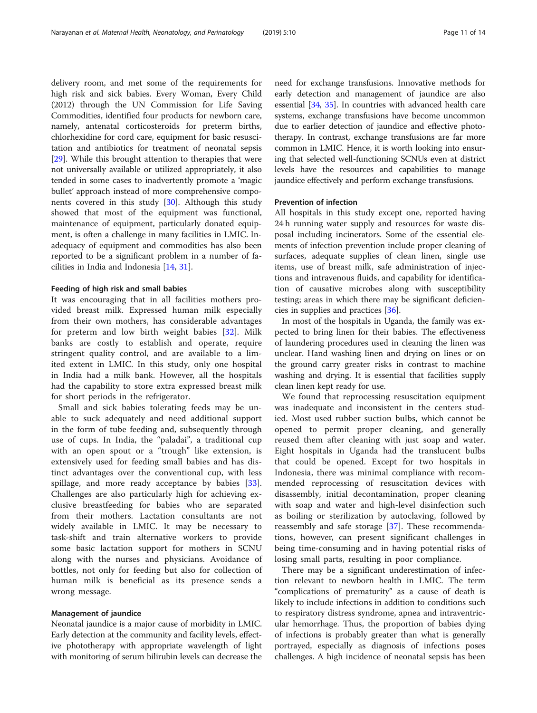delivery room, and met some of the requirements for high risk and sick babies. Every Woman, Every Child (2012) through the UN Commission for Life Saving Commodities, identified four products for newborn care, namely, antenatal corticosteroids for preterm births, chlorhexidine for cord care, equipment for basic resuscitation and antibiotics for treatment of neonatal sepsis [[29\]](#page-13-0). While this brought attention to therapies that were not universally available or utilized appropriately, it also tended in some cases to inadvertently promote a 'magic bullet' approach instead of more comprehensive components covered in this study [[30](#page-13-0)]. Although this study showed that most of the equipment was functional, maintenance of equipment, particularly donated equipment, is often a challenge in many facilities in LMIC. Inadequacy of equipment and commodities has also been reported to be a significant problem in a number of facilities in India and Indonesia [[14,](#page-12-0) [31\]](#page-13-0).

#### Feeding of high risk and small babies

It was encouraging that in all facilities mothers provided breast milk. Expressed human milk especially from their own mothers, has considerable advantages for preterm and low birth weight babies [[32\]](#page-13-0). Milk banks are costly to establish and operate, require stringent quality control, and are available to a limited extent in LMIC. In this study, only one hospital in India had a milk bank. However, all the hospitals had the capability to store extra expressed breast milk for short periods in the refrigerator.

Small and sick babies tolerating feeds may be unable to suck adequately and need additional support in the form of tube feeding and, subsequently through use of cups. In India, the "paladai", a traditional cup with an open spout or a "trough" like extension, is extensively used for feeding small babies and has distinct advantages over the conventional cup, with less spillage, and more ready acceptance by babies [\[33](#page-13-0)]. Challenges are also particularly high for achieving exclusive breastfeeding for babies who are separated from their mothers. Lactation consultants are not widely available in LMIC. It may be necessary to task-shift and train alternative workers to provide some basic lactation support for mothers in SCNU along with the nurses and physicians. Avoidance of bottles, not only for feeding but also for collection of human milk is beneficial as its presence sends a wrong message.

#### Management of jaundice

Neonatal jaundice is a major cause of morbidity in LMIC. Early detection at the community and facility levels, effective phototherapy with appropriate wavelength of light with monitoring of serum bilirubin levels can decrease the need for exchange transfusions. Innovative methods for early detection and management of jaundice are also essential [\[34,](#page-13-0) [35](#page-13-0)]. In countries with advanced health care systems, exchange transfusions have become uncommon due to earlier detection of jaundice and effective phototherapy. In contrast, exchange transfusions are far more common in LMIC. Hence, it is worth looking into ensuring that selected well-functioning SCNUs even at district levels have the resources and capabilities to manage jaundice effectively and perform exchange transfusions.

#### Prevention of infection

All hospitals in this study except one, reported having 24 h running water supply and resources for waste disposal including incinerators. Some of the essential elements of infection prevention include proper cleaning of surfaces, adequate supplies of clean linen, single use items, use of breast milk, safe administration of injections and intravenous fluids, and capability for identification of causative microbes along with susceptibility testing; areas in which there may be significant deficiencies in supplies and practices [[36](#page-13-0)].

In most of the hospitals in Uganda, the family was expected to bring linen for their babies. The effectiveness of laundering procedures used in cleaning the linen was unclear. Hand washing linen and drying on lines or on the ground carry greater risks in contrast to machine washing and drying. It is essential that facilities supply clean linen kept ready for use.

We found that reprocessing resuscitation equipment was inadequate and inconsistent in the centers studied. Most used rubber suction bulbs, which cannot be opened to permit proper cleaning, and generally reused them after cleaning with just soap and water. Eight hospitals in Uganda had the translucent bulbs that could be opened. Except for two hospitals in Indonesia, there was minimal compliance with recommended reprocessing of resuscitation devices with disassembly, initial decontamination, proper cleaning with soap and water and high-level disinfection such as boiling or sterilization by autoclaving, followed by reassembly and safe storage [[37\]](#page-13-0). These recommendations, however, can present significant challenges in being time-consuming and in having potential risks of losing small parts, resulting in poor compliance.

There may be a significant underestimation of infection relevant to newborn health in LMIC. The term "complications of prematurity" as a cause of death is likely to include infections in addition to conditions such to respiratory distress syndrome, apnea and intraventricular hemorrhage. Thus, the proportion of babies dying of infections is probably greater than what is generally portrayed, especially as diagnosis of infections poses challenges. A high incidence of neonatal sepsis has been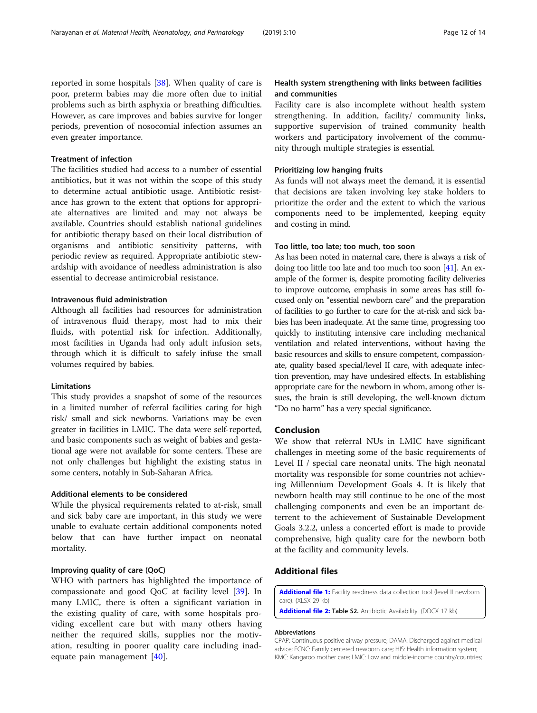<span id="page-11-0"></span>reported in some hospitals [\[38\]](#page-13-0). When quality of care is poor, preterm babies may die more often due to initial problems such as birth asphyxia or breathing difficulties. However, as care improves and babies survive for longer periods, prevention of nosocomial infection assumes an even greater importance.

#### Treatment of infection

The facilities studied had access to a number of essential antibiotics, but it was not within the scope of this study to determine actual antibiotic usage. Antibiotic resistance has grown to the extent that options for appropriate alternatives are limited and may not always be available. Countries should establish national guidelines for antibiotic therapy based on their local distribution of organisms and antibiotic sensitivity patterns, with periodic review as required. Appropriate antibiotic stewardship with avoidance of needless administration is also essential to decrease antimicrobial resistance.

#### Intravenous fluid administration

Although all facilities had resources for administration of intravenous fluid therapy, most had to mix their fluids, with potential risk for infection. Additionally, most facilities in Uganda had only adult infusion sets, through which it is difficult to safely infuse the small volumes required by babies.

#### **Limitations**

This study provides a snapshot of some of the resources in a limited number of referral facilities caring for high risk/ small and sick newborns. Variations may be even greater in facilities in LMIC. The data were self-reported, and basic components such as weight of babies and gestational age were not available for some centers. These are not only challenges but highlight the existing status in some centers, notably in Sub-Saharan Africa.

#### Additional elements to be considered

While the physical requirements related to at-risk, small and sick baby care are important, in this study we were unable to evaluate certain additional components noted below that can have further impact on neonatal mortality.

#### Improving quality of care (QoC)

WHO with partners has highlighted the importance of compassionate and good QoC at facility level [[39\]](#page-13-0). In many LMIC, there is often a significant variation in the existing quality of care, with some hospitals providing excellent care but with many others having neither the required skills, supplies nor the motivation, resulting in poorer quality care including inadequate pain management [[40\]](#page-13-0).

#### Health system strengthening with links between facilities and communities

Facility care is also incomplete without health system strengthening. In addition, facility/ community links, supportive supervision of trained community health workers and participatory involvement of the community through multiple strategies is essential.

#### Prioritizing low hanging fruits

As funds will not always meet the demand, it is essential that decisions are taken involving key stake holders to prioritize the order and the extent to which the various components need to be implemented, keeping equity and costing in mind.

#### Too little, too late; too much, too soon

As has been noted in maternal care, there is always a risk of doing too little too late and too much too soon [\[41\]](#page-13-0). An example of the former is, despite promoting facility deliveries to improve outcome, emphasis in some areas has still focused only on "essential newborn care" and the preparation of facilities to go further to care for the at-risk and sick babies has been inadequate. At the same time, progressing too quickly to instituting intensive care including mechanical ventilation and related interventions, without having the basic resources and skills to ensure competent, compassionate, quality based special/level II care, with adequate infection prevention, may have undesired effects. In establishing appropriate care for the newborn in whom, among other issues, the brain is still developing, the well-known dictum "Do no harm" has a very special significance.

#### Conclusion

We show that referral NUs in LMIC have significant challenges in meeting some of the basic requirements of Level II / special care neonatal units. The high neonatal mortality was responsible for some countries not achieving Millennium Development Goals 4. It is likely that newborn health may still continue to be one of the most challenging components and even be an important deterrent to the achievement of Sustainable Development Goals 3.2.2, unless a concerted effort is made to provide comprehensive, high quality care for the newborn both at the facility and community levels.

#### Additional files

[Additional file 1:](https://doi.org/10.1186/s40748-019-0105-9) Facility readiness data collection tool (level II newborn care). (XLSX 29 kb)

[Additional file 2:](https://doi.org/10.1186/s40748-019-0105-9) Table S2. Antibiotic Availability. (DOCX 17 kb)

#### Abbreviations

CPAP: Continuous positive airway pressure; DAMA: Discharged against medical advice; FCNC: Family centered newborn care; HIS: Health information system; KMC: Kangaroo mother care; LMIC: Low and middle-income country/countries;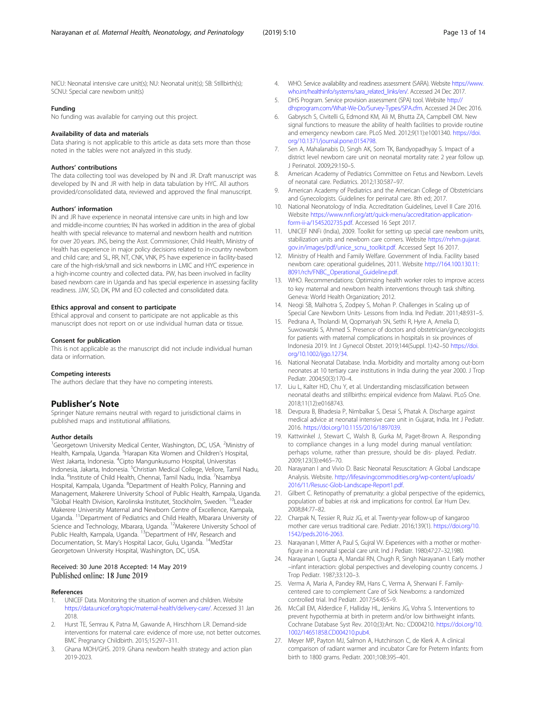<span id="page-12-0"></span>NICU: Neonatal intensive care unit(s); NU: Neonatal unit(s); SB: Stillbirth(s); SCNU: Special care newborn unit(s)

#### Funding

No funding was available for carrying out this project.

#### Availability of data and materials

Data sharing is not applicable to this article as data sets more than those noted in the tables were not analyzed in this study.

#### Authors' contributions

The data collecting tool was developed by IN and JR. Draft manuscript was developed by IN and JR with help in data tabulation by HYC. All authors provided/consolidated data, reviewed and approved the final manuscript.

#### Authors' information

IN and JR have experience in neonatal intensive care units in high and low and middle-income countries; IN has worked in addition in the area of global health with special relevance to maternal and newborn health and nutrition for over 20 years. JNS, being the Asst. Commissioner, Child Health, Ministry of Health has experience in major policy decisions related to in-country newborn and child care; and SL, RR, NT, CNK, VNK, PS have experience in facility-based care of the high-risk/small and sick newborns in LMIC and HYC experience in a high-income country and collected data.. PW, has been involved in facility based newborn care in Uganda and has special experience in assessing facility readiness. JJW, SD, DK, PM and EO collected and consolidated data.

#### Ethics approval and consent to participate

Ethical approval and consent to participate are not applicable as this manuscript does not report on or use individual human data or tissue.

#### Consent for publication

This is not applicable as the manuscript did not include individual human data or information.

#### Competing interests

The authors declare that they have no competing interests.

#### Publisher's Note

Springer Nature remains neutral with regard to jurisdictional claims in published maps and institutional affiliations.

#### Author details

<sup>1</sup>Georgetown University Medical Center, Washington, DC, USA. <sup>2</sup>Ministry of Health, Kampala, Uganda. <sup>3</sup>Harapan Kita Women and Children's Hospital, West Jakarta, Indonesia. <sup>4</sup>Cipto Mangunkusumo Hospital, Universitas Indonesia, Jakarta, Indonesia. <sup>5</sup>Christian Medical College, Vellore, Tamil Nadu, India. <sup>6</sup>Institute of Child Health, Chennai, Tamil Nadu, India. <sup>7</sup>Nsambya Hospital, Kampala, Uganda. <sup>8</sup>Department of Health Policy, Planning and Management, Makerere University School of Public Health, Kampala, Uganda. <sup>9</sup>Global Health Division, Karolinska Institutet, Stockholm, Sweden. <sup>10</sup>Leader Makerere University Maternal and Newborn Centre of Excellence, Kampala, Uganda. 11Department of Pediatrics and Child Health, Mbarara University of Science and Technology, Mbarara, Uganda. <sup>12</sup>Makerere University School of Public Health, Kampala, Uganda. <sup>13</sup>Department of HIV, Research and Documentation, St. Mary's Hospital Lacor, Gulu, Uganda. 14MedStar Georgetown University Hospital, Washington, DC, USA.

# Received: 30 June 2018 Accepted: 14 May 2019<br>Published online: 18 June 2019

#### References

- 1. UNICEF Data. Monitoring the situation of women and children. Website [https://data.unicef.org/topic/maternal-health/delivery-care/.](https://data.unicef.org/topic/maternal-health/delivery-care/) Accessed 31 Jan 2018.
- 2. Hurst TE, Semrau K, Patna M, Gawande A, Hirschhorn LR. Demand-side interventions for maternal care: evidence of more use, not better outcomes. BMC Pregnancy Childbirth. 2015;15:297–311.
- 3. Ghana MOH/GHS. 2019. Ghana newborn health strategy and action plan 2019-2023.
- 4. WHO. Service availability and readiness assessment (SARA). Website [https://www.](https://www.who.int/healthinfo/systems/sara_related_links/en/) [who.int/healthinfo/systems/sara\\_related\\_links/en/](https://www.who.int/healthinfo/systems/sara_related_links/en/). Accessed 24 Dec 2017.
- 5. DHS Program. Service provision assessment (SPA) tool. Website [http://](http://dhsprogram.com/What-We-Do/Survey-Types/SPA.cfm) [dhsprogram.com/What-We-Do/Survey-Types/SPA.cfm](http://dhsprogram.com/What-We-Do/Survey-Types/SPA.cfm). Accessed 24 Dec 2016.
- 6. Gabrysch S, Civitelli G, Edmond KM, Ali M, Bhutta ZA, Campbell OM. New signal functions to measure the ability of health facilities to provide routine and emergency newborn care. PLoS Med. 2012;9(11):e1001340. [https://doi.](https://doi.org/10.1371/journal.pone.0154798) [org/10.1371/journal.pone.0154798.](https://doi.org/10.1371/journal.pone.0154798)
- 7. Sen A, Mahalanabis D, Singh AK, Som TK, Bandyopadhyay S. Impact of a district level newborn care unit on neonatal mortality rate: 2 year follow up. J Perinatol. 2009;29:150–5.
- 8. American Academy of Pediatrics Committee on Fetus and Newborn. Levels of neonatal care. Pediatrics. 2012;130:587–97.
- 9. American Academy of Pediatrics and the American College of Obstetricians and Gynecologists. Guidelines for perinatal care. 8th ed; 2017.
- 10. National Neonatology of India. Accreditation Guidelines, Level II Care 2016. Website [https://www.nnfi.org/att/quick-menu/accreditation-application](https://www.nnfi.org/att/quick-menu/accreditation-application-form-ii-a/1545202735.pdf)[form-ii-a/1545202735.pdf.](https://www.nnfi.org/att/quick-menu/accreditation-application-form-ii-a/1545202735.pdf) Accessed 16 Sept 2017.
- 11. UNICEF NNFi (India), 2009. Toolkit for setting up special care newborn units, stabilization units and newborn care corners. Website [https://nrhm.gujarat.](https://nrhm.gujarat.gov.in/images/pdf/unice_scnu_toolkit.pdf) [gov.in/images/pdf/unice\\_scnu\\_toolkit.pdf.](https://nrhm.gujarat.gov.in/images/pdf/unice_scnu_toolkit.pdf) Accessed Sept 16 2017.
- 12. Ministry of Health and Family Welfare. Government of India. Facility based newborn care: operational guidelines, 2011. Website [http://164.100.130.11:](http://164.100.130.11:8091/rch/FNBC_Operational_Guideline.pdf)) [8091/rch/FNBC\\_Operational\\_Guideline.pdf.](http://164.100.130.11:8091/rch/FNBC_Operational_Guideline.pdf))
- 13. WHO. Recommendations: Optimizing health worker roles to improve access to key maternal and newborn health interventions through task shifting. Geneva: World Health Organization; 2012.
- 14. Neogi SB, Malhotra S, Zodpey S, Mohan P. Challenges in Scaling up of Special Care Newborn Units- Lessons from India. Ind Pediatr. 2011;48:931–5.
- 15. Pedrana A, Tholandi M, Qopmariyah SN, Sethi R, Hyre A, Amelia D, Suwowatski S, Ahmed S. Presence of doctors and obstetrician/gynecologists for patients with maternal complications in hospitals in six provinces of Indonesia 2019. Int J Gynecol Obstet. 2019;144(Suppl. 1):42–50 [https://doi.](https://doi.org/10.1002/ijgo.12734) [org/10.1002/ijgo.12734.](https://doi.org/10.1002/ijgo.12734)
- 16. National Neonatal Database. India. Morbidity and mortality among out-born neonates at 10 tertiary care institutions in India during the year 2000. J Trop Pediatr. 2004;50(3):170–4.
- 17. Liu L, Kalter HD, Chu Y, et al. Understanding misclassification between neonatal deaths and stillbirths: empirical evidence from Malawi. PLoS One. 2018;11(12):e0168743.
- 18. Devpura B, Bhadesia P, Nimbalkar S, Desai S, Phatak A. Discharge against medical advice at neonatal intensive care unit in Gujarat, India. Int J Pediatr. 2016. [https://doi.org/10.1155/2016/1897039.](https://doi.org/10.1155/2016/1897039)
- 19. Kattwinkel J, Stewart C, Walsh B, Gurka M, Paget-Brown A. Responding to compliance changes in a lung model during manual ventilation: perhaps volume, rather than pressure, should be dis- played. Pediatr. 2009;123(3):e465–70.
- 20. Narayanan I and Vivio D. Basic Neonatal Resuscitation: A Global Landscape Analysis. Website. [http://lifesavingcommodities.org/wp-content/uploads/](http://lifesavingcommodities.org/wp-content/uploads/2016/11/Resusc-Glob-Landscape-Report1.pdf) [2016/11/Resusc-Glob-Landscape-Report1.pdf](http://lifesavingcommodities.org/wp-content/uploads/2016/11/Resusc-Glob-Landscape-Report1.pdf).
- 21. Gilbert C. Retinopathy of prematurity: a global perspective of the epidemics, population of babies at risk and implications for control. Ear Hum Dev. 2008;84:77–82.
- 22. Charpak N, Tessier R, Ruiz JG, et al. Twenty-year follow-up of kangaroo mother care versus traditional care. Pediatr. 2016;139(1). [https://doi.org/10.](https://doi.org/10.1542/peds.2016-2063) [1542/peds.2016-2063](https://doi.org/10.1542/peds.2016-2063).
- 23. Narayanan I, Mitter A, Paul S, Gujral W. Experiences with a mother or motherfigure in a neonatal special care unit. Ind J Pediatr. 1980;47:27–32,1980.
- 24. Narayanan I, Gupta A, Mandal RN, Chugh R, Singh Narayanan I. Early mother –infant interaction: global perspectives and developing country concerns. J Trop Pediatr. 1987;33:120–3.
- 25. Verma A, Maria A, Pandey RM, Hans C, Verma A, Sherwani F. Familycentered care to complement Care of Sick Newborns: a randomized controlled trial. Ind Pediatr. 2017;54:455–9.
- 26. McCall EM, Alderdice F, Halliday HL, Jenkins JG, Vohra S. Interventions to prevent hypothermia at birth in preterm and/or low birthweight infants. Cochrane Database Syst Rev. 2010;(3):Art. No.: CD004210. [https://doi.org/10.](https://doi.org/10.1002/14651858.CD004210.pub4) [1002/14651858.CD004210.pub4](https://doi.org/10.1002/14651858.CD004210.pub4).
- 27. Meyer MP, Payton MJ, Salmon A, Hutchinson C, de Klerk A. A clinical comparison of radiant warmer and incubator Care for Preterm Infants: from birth to 1800 grams. Pediatr. 2001;108:395–401.